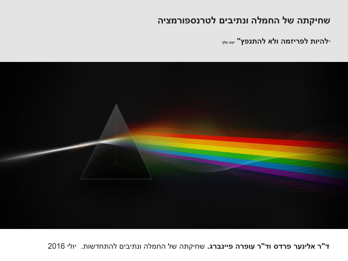### שחיקתה של החמלה ונתיבים לטרנספורמציה

<del>י</del>להיות לפריזמה ולא להתנפץ" <sub>יונה וולך</sub>



2016 ʩʬʥʩ .ʺʥʹʣʧʺʤʬ ʭʩʡʩʺʰʥ ʤʬʮʧʤ ʬʹ ʤʺʷʩʧʹ **.ʢʸʡʰʩʩʴ ʤʸʴʥʲ ʸ"ʣʥ ʱʣʸʴ ʸʲʰʩʬʠ ʸ"ʣ**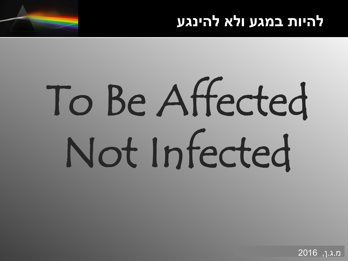# להיות במגע ולא להינגע

# To Be Affected Not Infected

מ.ג.ן, 2016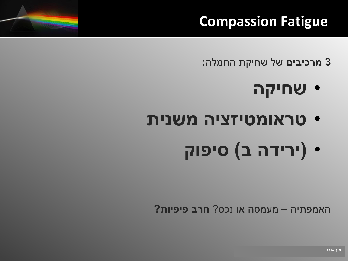### **Compassion Fatigue**

**3 מרכיבים** של שחיקת החמלה:

- **טחיקה** •
- טראומטיזציה משנית
	- **ʷʥʴʩʱ (ʡ ʤʣʩʸʩ)** •

האמפתיה – מעמסה או נכס? **חרב פיפיות?** 

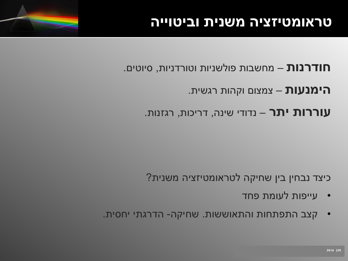### **חודרנות** – מחשבות פולשניות וטורדניות, סיוטים.

### ה**ימנעות** – צמצום וקהות רגשית.

### ע**וררות יתר** – נדודי שינה, דריכות, רגזנות.

### **?**כיצד נבחין בין שחיקה לטראומטיזציה משנית

- י עייפות לעומת פחד
- קצב התפתחות והתאוששות. שחיקה- הדרגתי יחסית.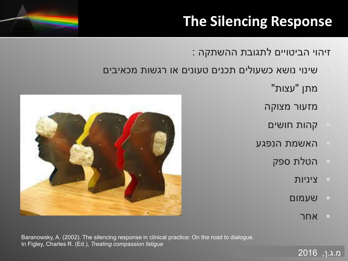### **The Silencing Response**

: זיהוי הביטויים לתגובת ההשתקה

- שינוי נושא כשעולים תכנים טעונים או רגשות מכאיבים
	- "מתן "עצות
	- מזעור מצוקה
	- קהות חושים
	- האשמת הנפגע
		- הטלת ספק
			- ʺʥʩʰʩʶ •
			- ʭʥʮʲʹ
				- $\blacksquare$ י אחר

<u>מ.ג.ן,</u> 2016





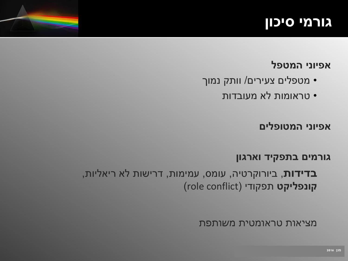### <u>גורמי סיכון</u>

### **ʬʴʨʮʤ ʩʰʥʩʴʠ**

- מטפלים צעירים/ וותק נמוך 
	- יטראומות לא מעובדות •

### **ʭʩʬʴʥʨʮʤ ʩʰʥʩʴʠ**

#### גורמים בתפקיד וארגון

בדידות, ביורוקרטיה, עומס, עמימות, דרישות לא ריאליות, קונפליקט תפקודי (role conflict)

מציאות טראומטית משותפת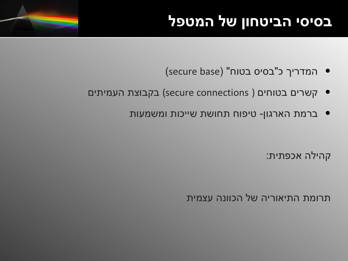# **בסיסי הביטחון של המטפל**



- קשרים בטוחים (secure connections) בקבוצת העמיתים
	- ברמת הארגון- טיפוח תחושת שייכות ומשמעות

קהילה אכפתית:

תרומת התיאוריה של הכוונה עצמית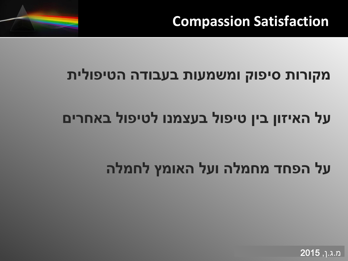

### מקורות סיפוק ומשמעות בעבודה הטיפולית

# על האיזון בין טיפול בעצמנו לטיפול באחרים

# על הפחד מחמלה ועל האומץ לחמלה

מ.ג.ן, **2015**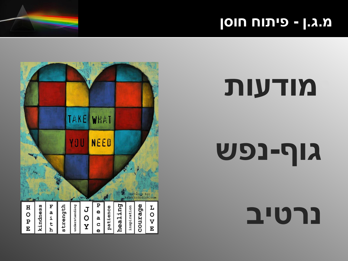### **ʯʱʥʧ ʧʥʺʩʴ - ʯ.ʢ.ʮ**



# <u>מודעות</u>

# **ʹʴʰ-ʳʥʢ**

**נרטיב**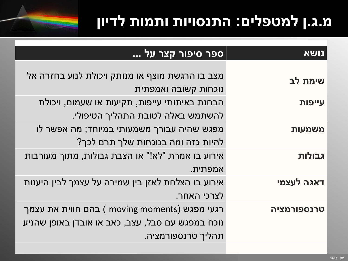# **ʯʥʩʣʬ ʺʥʮʺʥ ʺʥʩʥʱʰʺʤ :ʭʩʬʴʨʮʬ ʯ.ʢ.ʮ**



| נושא        | ספר סיפור קצר על                                  |
|-------------|---------------------------------------------------|
|             |                                                   |
| שימת לב     | מצב בו הרגשת מוצף או מנותק ויכולת לנוע בחזרה אל   |
|             | נוכחות קשובה ואמפתית                              |
| עייפות      | הבחנת באיתותי עייפות, תקיעות או שעמום, ויכולת     |
|             | להשתמש באלה לטובת התהליך הטיפולי.                 |
| משמעות      | מפגש שהיה עבורך משמעותי במיוחד; מה אפשר לו        |
|             | להיות כזה ומה בנוכחות שלך תרם לכך?                |
| גבולות      | אירוע בו אמרת "לא!" או הצבת גבולות, מתוך מעורבות  |
|             | אמפתית.                                           |
| דאגה לעצמי  | אירוע בו הצלחת לאזן בין שמירה על עצמך לבין היענות |
|             | לצרכי האחר.                                       |
| טרנספורמציה | רגעי מפגש ( moving moments ) בהם חווית את עצמך    |
|             | נוכח במפגש עם סבל, עצב, כאב או אובדן באופן שהניע  |
|             | תהליך טרנספורמציה.                                |
|             |                                                   |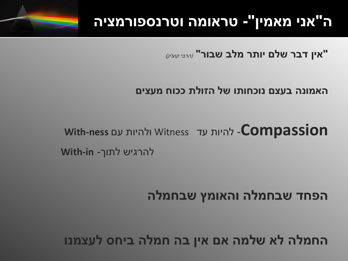### ה"אני מאמין"- טראומה וטרנספורמציה

"אין דבר שלם יותר מלב שבור" (הרבי קוצ'ק)

### האמונה בעצם נוכחותו של הזולת ככוח מעצים

With-ness ולהיות עד Witness ולהיות עם With-ness להרגיש לתוך- With-in

הפחד שבחמלה והאומץ שבחמלה

החמלה לא שלמה אם אין בה חמלה ביחס לעצמנו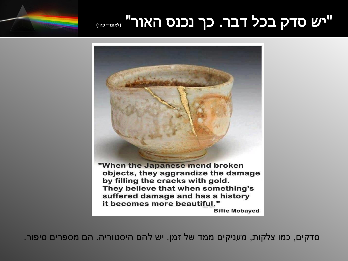### "יש סדק בכל דבר. כך נכנס האור" (לאונדים)



ָסדקים, כמו צלקות, מעניקים ממד של זמן. יש להם היסטוריה. הם מספרים סיפור.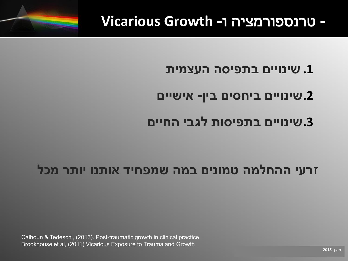### **Vicarious Growth -ר טרנספורמציה ו**

### **ʺʩʮʶʲʤ ʤʱʩʴʺʡ ʭʩʩʥʰʩʹ .1**

### **ʭʩʩʹʩʠ -ʯʩʡ ʭʩʱʧʩʡ ʭʩʩʥʰʩʹ.2**

### **ʭʩʩʧʤ ʩʡʢʬ ʺʥʱʩʴʺʡ ʭʩʩʥʰʩʹ.3**

### זרעי ההחלמה טמונים במה שמפחיד אותנו יותר מכל

Calhoun & Tedeschi, (2013). Post-traumatic growth in clinical practice Brookhouse et al, (2011) Vicarious Exposure to Trauma and Growth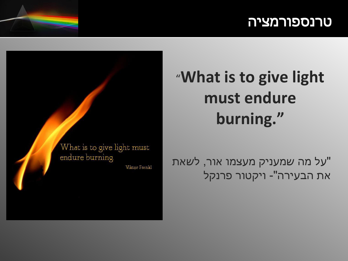### <u>טרנספורמציה</u>

# "What is to give light must endure burning."

על מה שמעניק מעצמו אור, לשאת" את הבעירה"- ויקטור פרנקל

What is to give light must endure burning

**Viktor Frenkl**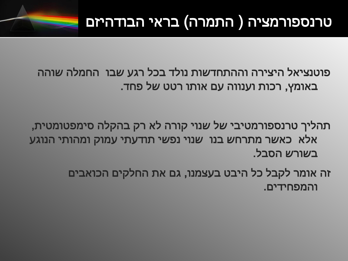# טרנספורמציה ( התמרה) בראי הבודהיזם

פוטנציאל היצירה וההתחדשות נולד בכל רגע שבו החמלה שוהה באומץ, רכות וענווה עם אותו רטט של פחד.

תהליך טרנספורמטיבי של שנוי קורה לא רק בהקלה סימפטומטית, אלא כאשר מתרחש בנו שנוי נפשי תודעתי עמוק ומהותי הנוגע בשורש הסבל.

> זה אומר לקבל כל היבט בעצמנו, גם את החלקים הכואבים והמפחידים.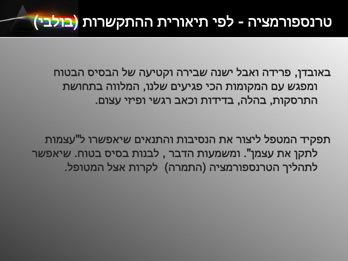# טרנספורמציה - לפי תיאורית ההתקשרות (בולבי)

באובדן, פרידה ואבל ישנה שבירה וקטיעה של הבסיס הבטוח ומפגש עם המקומות הכי פגיעים שלנו, המלווה בתחושת התרסקות, בהלה, בדידות וכאב רגשי ופיזי עצום.

תפקיד המטפל ליצור את הנסיבות והתנאים שיאפשרו ל"עצמות לתקן את עצמן". ומשמעות הדבר , לבנות בסיס בטוח. שיאפשר לתהליך הטרנספורמציה (התמרה) לקרות אצל המטופל.